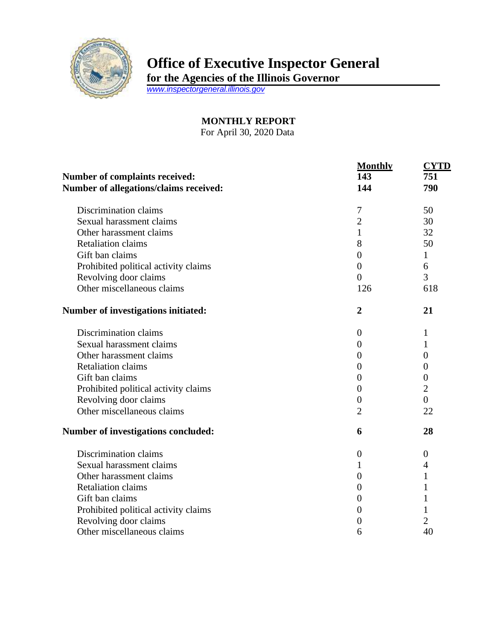

## **Office of Executive Inspector General**

**for the Agencies of the Illinois Governor**

*[www.inspectorgeneral.illinois.gov](http://www.inspectorgeneral.illinois.gov/)*

**MONTHLY REPORT** For April 30, 2020 Data

|                                                                                 | <b>Monthly</b>   | <b>CYTD</b>      |
|---------------------------------------------------------------------------------|------------------|------------------|
| <b>Number of complaints received:</b><br>Number of allegations/claims received: | 143<br>144       | 751<br>790       |
|                                                                                 |                  |                  |
| Sexual harassment claims                                                        | $\overline{2}$   | 30               |
| Other harassment claims                                                         | $\mathbf{1}$     | 32               |
| <b>Retaliation claims</b>                                                       | 8                | 50               |
| Gift ban claims                                                                 | $\overline{0}$   | 1                |
| Prohibited political activity claims                                            | $\overline{0}$   | 6                |
| Revolving door claims                                                           | $\overline{0}$   | 3                |
| Other miscellaneous claims                                                      | 126              | 618              |
| Number of investigations initiated:                                             | $\overline{2}$   | 21               |
| Discrimination claims                                                           | $\overline{0}$   | 1                |
| Sexual harassment claims                                                        | $\theta$         | 1                |
| Other harassment claims                                                         | $\theta$         | $\overline{0}$   |
| <b>Retaliation claims</b>                                                       | $\overline{0}$   | 0                |
| Gift ban claims                                                                 | $\overline{0}$   | $\boldsymbol{0}$ |
| Prohibited political activity claims                                            | $\theta$         | $\overline{2}$   |
| Revolving door claims                                                           | $\boldsymbol{0}$ | $\overline{0}$   |
| Other miscellaneous claims                                                      | $\overline{2}$   | 22               |
| <b>Number of investigations concluded:</b>                                      | 6                | 28               |
| Discrimination claims                                                           | $\boldsymbol{0}$ | $\boldsymbol{0}$ |
| Sexual harassment claims                                                        | 1                | $\overline{4}$   |
| Other harassment claims                                                         | $\overline{0}$   | 1                |
| <b>Retaliation claims</b>                                                       | $\overline{0}$   | 1                |
| Gift ban claims                                                                 | $\overline{0}$   |                  |
| Prohibited political activity claims                                            | $\Omega$         | 1                |
| Revolving door claims                                                           | 0                | 2                |
| Other miscellaneous claims                                                      | 6                | 40               |